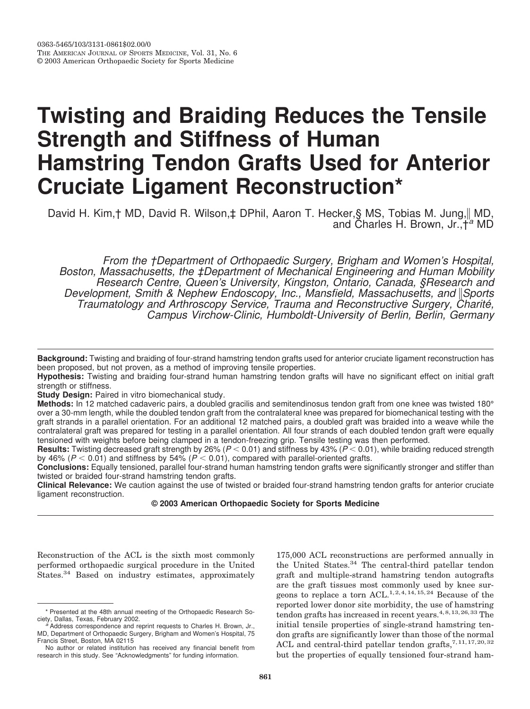# **Twisting and Braiding Reduces the Tensile Strength and Stiffness of Human Hamstring Tendon Grafts Used for Anterior Cruciate Ligament Reconstruction\***

David H. Kim, † MD, David R. Wilson, ‡ DPhil, Aaron T. Hecker, § MS, Tobias M. Jung, || MD, and Charles H. Brown, Jr., t<sup>a</sup> MD

From the †Department of Orthopaedic Surgery, Brigham and Women's Hospital, Boston, Massachusetts, the ‡Department of Mechanical Engineering and Human Mobility Research Centre, Queen's University, Kingston, Ontario, Canada, §Research and Development, Smith & Nephew Endoscopy, Inc., Mansfield, Massachusetts, and Sports Traumatology and Arthroscopy Service, Trauma and Reconstructive Surgery, Charité, Campus Virchow-Clinic, Humboldt-University of Berlin, Berlin, Germany

Background: Twisting and braiding of four-strand hamstring tendon grafts used for anterior cruciate ligament reconstruction has been proposed, but not proven, as a method of improving tensile properties.

Hypothesis: Twisting and braiding four-strand human hamstring tendon grafts will have no significant effect on initial graft strength or stiffness.

Study Design: Paired in vitro biomechanical study.

Methods: In 12 matched cadaveric pairs, a doubled gracilis and semitendinosus tendon graft from one knee was twisted 180° over a 30-mm length, while the doubled tendon graft from the contralateral knee was prepared for biomechanical testing with the graft strands in a parallel orientation. For an additional 12 matched pairs, a doubled graft was braided into a weave while the contralateral graft was prepared for testing in a parallel orientation. All four strands of each doubled tendon graft were equally tensioned with weights before being clamped in a tendon-freezing grip. Tensile testing was then performed.

**Results:** Twisting decreased graft strength by 26% ( $P < 0.01$ ) and stiffness by 43% ( $P < 0.01$ ), while braiding reduced strength by 46% ( $P < 0.01$ ) and stiffness by 54% ( $P < 0.01$ ), compared with parallel-oriented grafts.

Conclusions: Equally tensioned, parallel four-strand human hamstring tendon grafts were significantly stronger and stiffer than twisted or braided four-strand hamstring tendon grafts.

Clinical Relevance: We caution against the use of twisted or braided four-strand hamstring tendon grafts for anterior cruciate ligament reconstruction.

## © 2003 American Orthopaedic Society for Sports Medicine

Reconstruction of the ACL is the sixth most commonly performed orthopaedic surgical procedure in the United States.<sup>34</sup> Based on industry estimates, approximately

175,000 ACL reconstructions are performed annually in the United States.<sup>34</sup> The central-third patellar tendon graft and multiple-strand hamstring tendon autografts are the graft tissues most commonly used by knee surgeons to replace a torn ACL.<sup>1,2,4,14,15,24</sup> Because of the reported lower donor site morbidity, the use of hamstring tendon grafts has increased in recent years.<sup>4,8,13,26,33</sup> The initial tensile properties of single-strand hamstring tendon grafts are significantly lower than those of the normal ACL and central-third patellar tendon grafts,  $7,11,17,20,32$ but the properties of equally tensioned four-strand ham-

<sup>\*</sup> Presented at the 48th annual meeting of the Orthopaedic Research Society, Dallas, Texas, February 2002.

<sup>&</sup>lt;sup>a</sup> Address correspondence and reprint requests to Charles H. Brown, Jr., MD, Department of Orthopaedic Surgery, Brigham and Women's Hospital, 75 Francis Street, Boston, MA 02115

No author or related institution has received any financial benefit from research in this study. See "Acknowledgments" for funding information.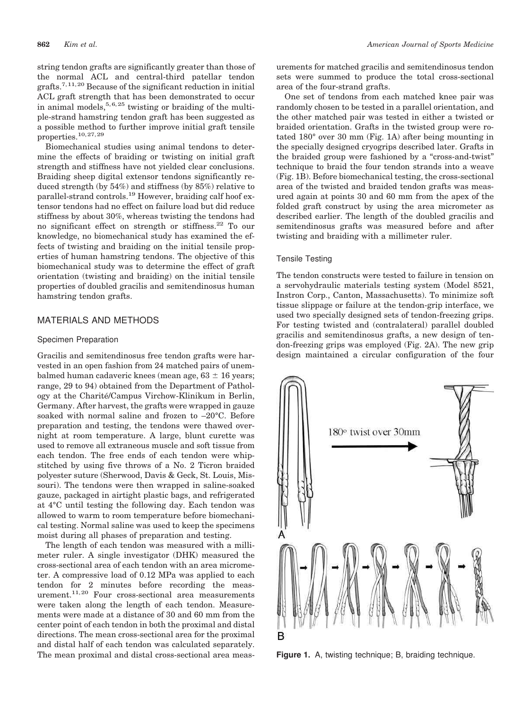string tendon grafts are significantly greater than those of the normal ACL and central-third patellar tendon grafts.<sup>7,11,20</sup> Because of the significant reduction in initial ACL graft strength that has been demonstrated to occur in animal models,  $5, 6, 25$  twisting or braiding of the multiple-strand hamstring tendon graft has been suggested as a possible method to further improve initial graft tensile properties.  $^{10,27,29}$ 

Biomechanical studies using animal tendons to determine the effects of braiding or twisting on initial graft strength and stiffness have not yielded clear conclusions. Braiding sheep digital extensor tendons significantly reduced strength (by  $54\%$ ) and stiffness (by  $85\%$ ) relative to parallel-strand controls.<sup>19</sup> However, braiding calf hoof extensor tendons had no effect on failure load but did reduce stiffness by about 30%, whereas twisting the tendons had no significant effect on strength or stiffness.<sup>22</sup> To our knowledge, no biomechanical study has examined the effects of twisting and braiding on the initial tensile properties of human hamstring tendons. The objective of this biomechanical study was to determine the effect of graft orientation (twisting and braiding) on the initial tensile properties of doubled gracilis and semitendinosus human hamstring tendon grafts.

## **MATERIALS AND METHODS**

#### Specimen Preparation

Gracilis and semitendinosus free tendon grafts were harvested in an open fashion from 24 matched pairs of unembalmed human cadaveric knees (mean age,  $63 \pm 16$  years; range, 29 to 94) obtained from the Department of Pathology at the Charité/Campus Virchow-Klinikum in Berlin, Germany. After harvest, the grafts were wrapped in gauze soaked with normal saline and frozen to  $-20^{\circ}$ C. Before preparation and testing, the tendons were thawed overnight at room temperature. A large, blunt curette was used to remove all extraneous muscle and soft tissue from each tendon. The free ends of each tendon were whipstitched by using five throws of a No. 2 Ticron braided polyester suture (Sherwood, Davis & Geck, St. Louis, Missouri). The tendons were then wrapped in saline-soaked gauze, packaged in airtight plastic bags, and refrigerated at 4°C until testing the following day. Each tendon was allowed to warm to room temperature before biomechanical testing. Normal saline was used to keep the specimens moist during all phases of preparation and testing.

The length of each tendon was measured with a millimeter ruler. A single investigator (DHK) measured the cross-sectional area of each tendon with an area micrometer. A compressive load of 0.12 MPa was applied to each tendon for 2 minutes before recording the measurement.<sup>11,20</sup> Four cross-sectional area measurements were taken along the length of each tendon. Measurements were made at a distance of 30 and 60 mm from the center point of each tendon in both the proximal and distal directions. The mean cross-sectional area for the proximal and distal half of each tendon was calculated separately. The mean proximal and distal cross-sectional area meas-

urements for matched gracilis and semitendinosus tendon sets were summed to produce the total cross-sectional area of the four-strand grafts.

One set of tendons from each matched knee pair was randomly chosen to be tested in a parallel orientation, and the other matched pair was tested in either a twisted or braided orientation. Grafts in the twisted group were rotated 180° over 30 mm (Fig. 1A) after being mounting in the specially designed cryogrips described later. Grafts in the braided group were fashioned by a "cross-and-twist" technique to braid the four tendon strands into a weave (Fig. 1B). Before biomechanical testing, the cross-sectional area of the twisted and braided tendon grafts was measured again at points 30 and 60 mm from the apex of the folded graft construct by using the area micrometer as described earlier. The length of the doubled gracilis and semitendinosus grafts was measured before and after twisting and braiding with a millimeter ruler.

### **Tensile Testing**

The tendon constructs were tested to failure in tension on a servohydraulic materials testing system (Model 8521, Instron Corp., Canton, Massachusetts). To minimize soft tissue slippage or failure at the tendon-grip interface, we used two specially designed sets of tendon-freezing grips. For testing twisted and (contralateral) parallel doubled gracilis and semitendinosus grafts, a new design of tendon-freezing grips was employed (Fig. 2A). The new grip design maintained a circular configuration of the four



Figure 1. A, twisting technique; B, braiding technique.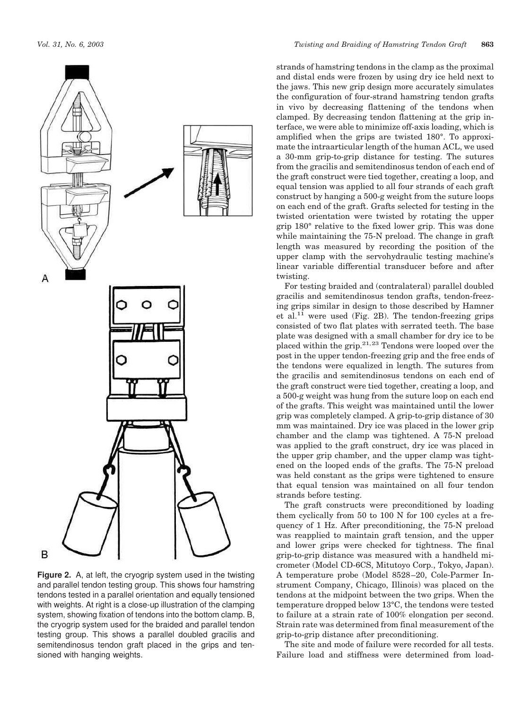

Figure 2. A, at left, the cryogrip system used in the twisting and parallel tendon testing group. This shows four hamstring tendons tested in a parallel orientation and equally tensioned with weights. At right is a close-up illustration of the clamping system, showing fixation of tendons into the bottom clamp. B, the cryogrip system used for the braided and parallel tendon testing group. This shows a parallel doubled gracilis and semitendinosus tendon graft placed in the grips and tensioned with hanging weights.

strands of hamstring tendons in the clamp as the proximal and distal ends were frozen by using dry ice held next to the jaws. This new grip design more accurately simulates the configuration of four-strand hamstring tendon grafts in vivo by decreasing flattening of the tendons when clamped. By decreasing tendon flattening at the grip interface, we were able to minimize off-axis loading, which is amplified when the grips are twisted 180°. To approximate the intraarticular length of the human ACL, we used a 30-mm grip-to-grip distance for testing. The sutures from the gracilis and semitendinosus tendon of each end of the graft construct were tied together, creating a loop, and equal tension was applied to all four strands of each graft construct by hanging a 500-g weight from the suture loops on each end of the graft. Grafts selected for testing in the twisted orientation were twisted by rotating the upper grip 180° relative to the fixed lower grip. This was done while maintaining the 75-N preload. The change in graft length was measured by recording the position of the upper clamp with the servohydraulic testing machine's linear variable differential transducer before and after twisting.

For testing braided and (contralateral) parallel doubled gracilis and semitendinosus tendon grafts, tendon-freezing grips similar in design to those described by Hamner et al. $^{11}$  were used (Fig. 2B). The tendon-freezing grips consisted of two flat plates with serrated teeth. The base plate was designed with a small chamber for dry ice to be placed within the grip.<sup>21,23</sup> Tendons were looped over the post in the upper tendon-freezing grip and the free ends of the tendons were equalized in length. The sutures from the gracilis and semitendinosus tendons on each end of the graft construct were tied together, creating a loop, and a 500-g weight was hung from the suture loop on each end of the grafts. This weight was maintained until the lower grip was completely clamped. A grip-to-grip distance of 30 mm was maintained. Dry ice was placed in the lower grip chamber and the clamp was tightened. A 75-N preload was applied to the graft construct, dry ice was placed in the upper grip chamber, and the upper clamp was tightened on the looped ends of the grafts. The 75-N preload was held constant as the grips were tightened to ensure that equal tension was maintained on all four tendon strands before testing.

The graft constructs were preconditioned by loading them cyclically from 50 to 100 N for 100 cycles at a frequency of 1 Hz. After preconditioning, the 75-N preload was reapplied to maintain graft tension, and the upper and lower grips were checked for tightness. The final grip-to-grip distance was measured with a handheld micrometer (Model CD-6CS, Mitutoyo Corp., Tokyo, Japan). A temperature probe (Model 8528-20, Cole-Parmer Instrument Company, Chicago, Illinois) was placed on the tendons at the midpoint between the two grips. When the temperature dropped below 13°C, the tendons were tested to failure at a strain rate of 100% elongation per second. Strain rate was determined from final measurement of the grip-to-grip distance after preconditioning.

The site and mode of failure were recorded for all tests. Failure load and stiffness were determined from load-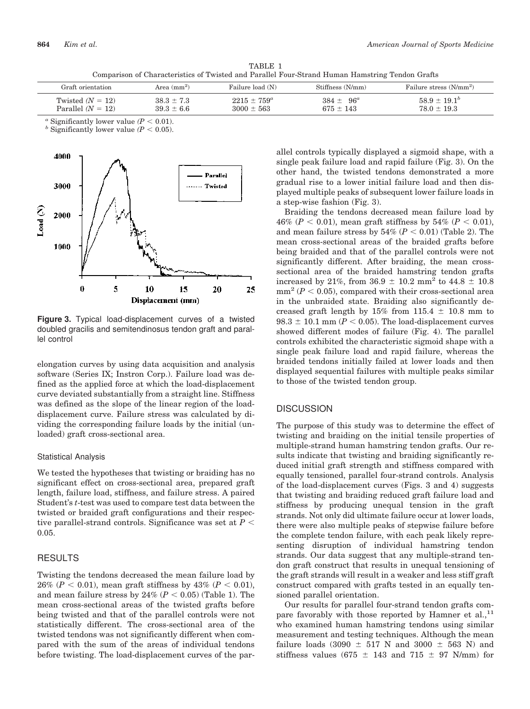TABLE 1 Comparison of Characteristics of Twisted and Parallel Four-Strand Human Hamstring Tendon Grafts

| Graft orientation   | Area $\text{(mm)}^2$ | Failure load (N) | Stiffness (N/mm) | Failure stress (N/mm <sup>2</sup> ) |
|---------------------|----------------------|------------------|------------------|-------------------------------------|
| Twisted $(N = 12)$  | $38.3 \pm 7.3$       | $2215 \pm 759^a$ | $384 + 96^a$     | $58.9 + 19.1b$                      |
| Parallel $(N = 12)$ | $39.3 + 6.6$         | $3000 \pm 563$   | $675 \pm 143$    | $78.0 \pm 19.3$                     |

<sup>*a*</sup> Significantly lower value ( $P < 0.01$ ).

<sup>b</sup> Significantly lower value ( $P < 0.05$ ).



Figure 3. Typical load-displacement curves of a twisted doubled gracilis and semitendinosus tendon graft and parallel control

elongation curves by using data acquisition and analysis software (Series IX; Instron Corp.). Failure load was defined as the applied force at which the load-displacement curve deviated substantially from a straight line. Stiffness was defined as the slope of the linear region of the loaddisplacement curve. Failure stress was calculated by dividing the corresponding failure loads by the initial (unloaded) graft cross-sectional area.

#### **Statistical Analysis**

We tested the hypotheses that twisting or braiding has no significant effect on cross-sectional area, prepared graft length, failure load, stiffness, and failure stress. A paired Student's *t*-test was used to compare test data between the twisted or braided graft configurations and their respective parallel-strand controls. Significance was set at  $P <$  $0.05.$ 

# **RESULTS**

Twisting the tendons decreased the mean failure load by 26% ( $P < 0.01$ ), mean graft stiffness by 43% ( $P < 0.01$ ), and mean failure stress by 24% ( $P < 0.05$ ) (Table 1). The mean cross-sectional areas of the twisted grafts before being twisted and that of the parallel controls were not statistically different. The cross-sectional area of the twisted tendons was not significantly different when compared with the sum of the areas of individual tendons before twisting. The load-displacement curves of the parallel controls typically displayed a sigmoid shape, with a single peak failure load and rapid failure (Fig. 3). On the other hand, the twisted tendons demonstrated a more gradual rise to a lower initial failure load and then displayed multiple peaks of subsequent lower failure loads in a step-wise fashion (Fig. 3).

Braiding the tendons decreased mean failure load by 46% ( $P < 0.01$ ), mean graft stiffness by 54% ( $P < 0.01$ ), and mean failure stress by  $54\%$  ( $P < 0.01$ ) (Table 2). The mean cross-sectional areas of the braided grafts before being braided and that of the parallel controls were not significantly different. After braiding, the mean crosssectional area of the braided hamstring tendon grafts increased by 21%, from  $36.9 \pm 10.2$  mm<sup>2</sup> to  $44.8 \pm 10.8$  $mm^2 (P < 0.05)$ , compared with their cross-sectional area in the unbraided state. Braiding also significantly decreased graft length by  $15\%$  from  $115.4 \pm 10.8$  mm to  $98.3 \pm 10.1$  mm ( $P < 0.05$ ). The load-displacement curves showed different modes of failure (Fig. 4). The parallel controls exhibited the characteristic sigmoid shape with a single peak failure load and rapid failure, whereas the braided tendons initially failed at lower loads and then displayed sequential failures with multiple peaks similar to those of the twisted tendon group.

# **DISCUSSION**

The purpose of this study was to determine the effect of twisting and braiding on the initial tensile properties of multiple-strand human hamstring tendon grafts. Our results indicate that twisting and braiding significantly reduced initial graft strength and stiffness compared with equally tensioned, parallel four-strand controls. Analysis of the load-displacement curves (Figs. 3 and 4) suggests that twisting and braiding reduced graft failure load and stiffness by producing unequal tension in the graft strands. Not only did ultimate failure occur at lower loads. there were also multiple peaks of stepwise failure before the complete tendon failure, with each peak likely representing disruption of individual hamstring tendon strands. Our data suggest that any multiple-strand tendon graft construct that results in unequal tensioning of the graft strands will result in a weaker and less stiff graft construct compared with grafts tested in an equally tensioned parallel orientation.

Our results for parallel four-strand tendon grafts compare favorably with those reported by Hamner et al.,<sup>11</sup> who examined human hamstring tendons using similar measurement and testing techniques. Although the mean failure loads (3090  $\pm$  517 N and 3000  $\pm$  563 N) and stiffness values (675  $\pm$  143 and 715  $\pm$  97 N/mm) for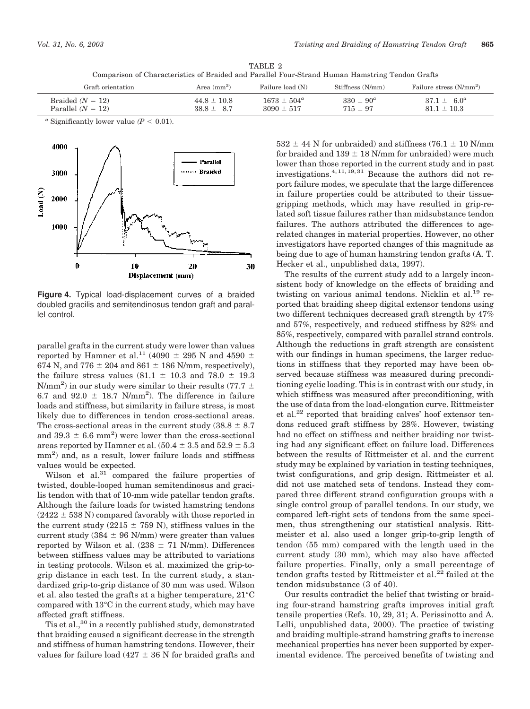TABLE 2 Comparison of Characteristics of Braided and Parallel Four-Strand Human Hamstring Tendon Grafts

| Graft orientation   | Area $(mm^2)$ | Failure load (N)       | Stiffness (N/mm) | Failure stress $(N/mm^2)$ |
|---------------------|---------------|------------------------|------------------|---------------------------|
| Braided $(N = 12)$  | $44.8 + 10.8$ | $1673 \pm 504^{\circ}$ | $330 \pm 90^a$   | $37.1 + 6.0^a$            |
| Parallel $(N = 12)$ | $38.8 + 8.7$  | $3090 + 517$           | $715 + 97$       | $81.1 + 10.3$             |

<sup>*a*</sup> Significantly lower value ( $P < 0.01$ ).



Figure 4. Typical load-displacement curves of a braided doubled gracilis and semitendinosus tendon graft and parallel control.

parallel grafts in the current study were lower than values reported by Hamner et al.<sup>11</sup> (4090  $\pm$  295 N and 4590  $\pm$ 674 N, and 776  $\pm$  204 and 861  $\pm$  186 N/mm, respectively), the failure stress values  $(81.1 \pm 10.3$  and  $78.0 \pm 19.3$ N/mm<sup>2</sup>) in our study were similar to their results (77.7  $\pm$ 6.7 and 92.0  $\pm$  18.7 N/mm<sup>2</sup>). The difference in failure loads and stiffness, but similarity in failure stress, is most likely due to differences in tendon cross-sectional areas. The cross-sectional areas in the current study  $(38.8 \pm 8.7)$ and 39.3  $\pm$  6.6 mm<sup>2</sup>) were lower than the cross-sectional areas reported by Hamner et al.  $(50.4 \pm 3.5 \text{ and } 52.9 \pm 5.3)$  $mm<sup>2</sup>$ ) and, as a result, lower failure loads and stiffness values would be expected.

Wilson et al.<sup>31</sup> compared the failure properties of twisted, double-looped human semitendinosus and gracilis tendon with that of 10-mm wide patellar tendon grafts. Although the failure loads for twisted hamstring tendons  $(2422 \pm 538 \text{ N})$  compared favorably with those reported in the current study (2215  $\pm$  759 N), stiffness values in the current study (384  $\pm$  96 N/mm) were greater than values reported by Wilson et al.  $(238 \pm 71 \text{ N/mm})$ . Differences between stiffness values may be attributed to variations in testing protocols. Wilson et al. maximized the grip-togrip distance in each test. In the current study, a standardized grip-to-grip distance of 30 mm was used. Wilson et al. also tested the grafts at a higher temperature, 21°C compared with 13°C in the current study, which may have affected graft stiffness.

Tis et al.,<sup>30</sup> in a recently published study, demonstrated that braiding caused a significant decrease in the strength and stiffness of human hamstring tendons. However, their values for failure load (427  $\pm$  36 N for braided grafts and

 $532 \pm 44$  N for unbraided) and stiffness (76.1  $\pm$  10 N/mm for braided and  $139 \pm 18$  N/mm for unbraided) were much lower than those reported in the current study and in past investigations.<sup>4,11,19,31</sup> Because the authors did not report failure modes, we speculate that the large differences in failure properties could be attributed to their tissuegripping methods, which may have resulted in grip-related soft tissue failures rather than midsubstance tendon failures. The authors attributed the differences to agerelated changes in material properties. However, no other investigators have reported changes of this magnitude as being due to age of human hamstring tendon grafts (A. T. Hecker et al., unpublished data, 1997).

The results of the current study add to a largely inconsistent body of knowledge on the effects of braiding and twisting on various animal tendons. Nicklin et al.<sup>19</sup> reported that braiding sheep digital extensor tendons using two different techniques decreased graft strength by 47% and 57%, respectively, and reduced stiffness by 82% and 85%, respectively, compared with parallel strand controls. Although the reductions in graft strength are consistent with our findings in human specimens, the larger reductions in stiffness that they reported may have been observed because stiffness was measured during preconditioning cyclic loading. This is in contrast with our study, in which stiffness was measured after preconditioning, with the use of data from the load-elongation curve. Rittmeister et al.<sup>22</sup> reported that braiding calves' hoof extensor tendons reduced graft stiffness by 28%. However, twisting had no effect on stiffness and neither braiding nor twisting had any significant effect on failure load. Differences between the results of Rittmeister et al. and the current study may be explained by variation in testing techniques, twist configurations, and grip design. Rittmeister et al. did not use matched sets of tendons. Instead they compared three different strand configuration groups with a single control group of parallel tendons. In our study, we compared left-right sets of tendons from the same specimen, thus strengthening our statistical analysis. Rittmeister et al. also used a longer grip-to-grip length of tendon (55 mm) compared with the length used in the current study (30 mm), which may also have affected failure properties. Finally, only a small percentage of tendon grafts tested by Rittmeister et al.<sup>22</sup> failed at the tendon midsubstance (3 of 40).

Our results contradict the belief that twisting or braiding four-strand hamstring grafts improves initial graft tensile properties (Refs. 10, 29, 31; A. Perissinotto and A. Lelli, unpublished data, 2000). The practice of twisting and braiding multiple-strand hamstring grafts to increase mechanical properties has never been supported by experimental evidence. The perceived benefits of twisting and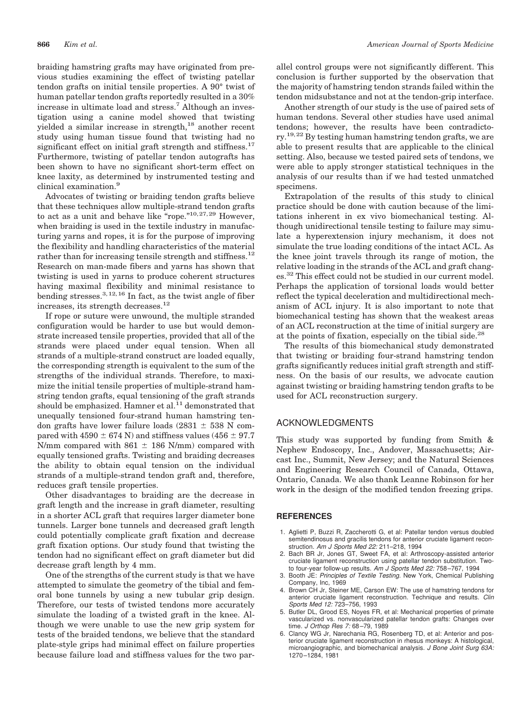braiding hamstring grafts may have originated from previous studies examining the effect of twisting patellar tendon grafts on initial tensile properties. A 90<sup>°</sup> twist of human patellar tendon grafts reportedly resulted in a 30% increase in ultimate load and stress.<sup>7</sup> Although an investigation using a canine model showed that twisting yielded a similar increase in strength,<sup>18</sup> another recent study using human tissue found that twisting had no significant effect on initial graft strength and stiffness.<sup>17</sup> Furthermore, twisting of patellar tendon autografts has been shown to have no significant short-term effect on knee laxity, as determined by instrumented testing and clinical examination.<sup>9</sup>

Advocates of twisting or braiding tendon grafts believe that these techniques allow multiple-strand tendon grafts to act as a unit and behave like "rope."<sup>10,27,29</sup> However. when braiding is used in the textile industry in manufacturing yarns and ropes, it is for the purpose of improving the flexibility and handling characteristics of the material rather than for increasing tensile strength and stiffness.<sup>12</sup> Research on man-made fibers and yarns has shown that twisting is used in yarns to produce coherent structures having maximal flexibility and minimal resistance to bending stresses.<sup>3, 12, 16</sup> In fact, as the twist angle of fiber increases, its strength decreases.<sup>12</sup>

If rope or suture were unwound, the multiple stranded configuration would be harder to use but would demonstrate increased tensile properties, provided that all of the strands were placed under equal tension. When all strands of a multiple-strand construct are loaded equally, the corresponding strength is equivalent to the sum of the strengths of the individual strands. Therefore, to maximize the initial tensile properties of multiple-strand hamstring tendon grafts, equal tensioning of the graft strands should be emphasized. Hamner et al.<sup>11</sup> demonstrated that unequally tensioned four-strand human hamstring tendon grafts have lower failure loads  $(2831 \pm 538 \text{ N} \text{ com}$ pared with 4590  $\pm$  674 N) and stiffness values (456  $\pm$  97.7 N/mm compared with  $861 \pm 186$  N/mm) compared with equally tensioned grafts. Twisting and braiding decreases the ability to obtain equal tension on the individual strands of a multiple-strand tendon graft and, therefore, reduces graft tensile properties.

Other disadvantages to braiding are the decrease in graft length and the increase in graft diameter, resulting in a shorter ACL graft that requires larger diameter bone tunnels. Larger bone tunnels and decreased graft length could potentially complicate graft fixation and decrease graft fixation options. Our study found that twisting the tendon had no significant effect on graft diameter but did decrease graft length by 4 mm.

One of the strengths of the current study is that we have attempted to simulate the geometry of the tibial and femoral bone tunnels by using a new tubular grip design. Therefore, our tests of twisted tendons more accurately simulate the loading of a twisted graft in the knee. Although we were unable to use the new grip system for tests of the braided tendons, we believe that the standard plate-style grips had minimal effect on failure properties because failure load and stiffness values for the two parallel control groups were not significantly different. This conclusion is further supported by the observation that the majority of hamstring tendon strands failed within the tendon midsubstance and not at the tendon-grip interface.

Another strength of our study is the use of paired sets of human tendons. Several other studies have used animal tendons; however, the results have been contradicto $ry.$ <sup>19,22</sup> By testing human hamstring tendon grafts, we are able to present results that are applicable to the clinical setting. Also, because we tested paired sets of tendons, we were able to apply stronger statistical techniques in the analysis of our results than if we had tested unmatched specimens.

Extrapolation of the results of this study to clinical practice should be done with caution because of the limitations inherent in ex vivo biomechanical testing. Although unidirectional tensile testing to failure may simulate a hyperextension injury mechanism, it does not simulate the true loading conditions of the intact ACL. As the knee joint travels through its range of motion, the relative loading in the strands of the ACL and graft changes.<sup>32</sup> This effect could not be studied in our current model. Perhaps the application of torsional loads would better reflect the typical deceleration and multidirectional mechanism of ACL injury. It is also important to note that biomechanical testing has shown that the weakest areas of an ACL reconstruction at the time of initial surgery are at the points of fixation, especially on the tibial side.<sup>28</sup>

The results of this biomechanical study demonstrated that twisting or braiding four-strand hamstring tendon grafts significantly reduces initial graft strength and stiffness. On the basis of our results, we advocate caution against twisting or braiding hamstring tendon grafts to be used for ACL reconstruction surgery.

# **ACKNOWLEDGMENTS**

This study was supported by funding from Smith & Nephew Endoscopy, Inc., Andover, Massachusetts; Aircast Inc., Summit, New Jersey; and the Natural Sciences and Engineering Research Council of Canada, Ottawa, Ontario, Canada. We also thank Leanne Robinson for her work in the design of the modified tendon freezing grips.

## **REFERENCES**

- 1. Aglietti P, Buzzi R, Zaccherotti G, et al: Patellar tendon versus doubled semitendinosus and gracilis tendons for anterior cruciate ligament reconstruction. Am J Sports Med 22: 211-218, 1994
- Bach BR Jr, Jones GT, Sweet FA, et al: Arthroscopy-assisted anterior  $\mathcal{P}$ cruciate ligament reconstruction using patellar tendon substitution. Twoto four-year follow-up results. Am J Sports Med 22: 758-767, 1994
- 3. Booth JE: Principles of Textile Testing. New York, Chemical Publishing Company, Inc, 1969
- 4. Brown CH Jr, Steiner ME, Carson EW: The use of hamstring tendons for anterior cruciate ligament reconstruction. Technique and results. Clin Sports Med 12: 723-756, 1993
- 5. Butler DL, Grood ES, Noyes FR, et al: Mechanical properties of primate vascularized vs. nonvascularized patellar tendon grafts: Changes over time. J Orthop Res 7: 68-79, 1989
- 6. Clancy WG Jr, Narechania RG, Rosenberg TD, et al: Anterior and posterior cruciate ligament reconstruction in rhesus monkeys: A histological, microangiographic, and biomechanical analysis. J Bone Joint Surg 63A: 1270-1284. 1981